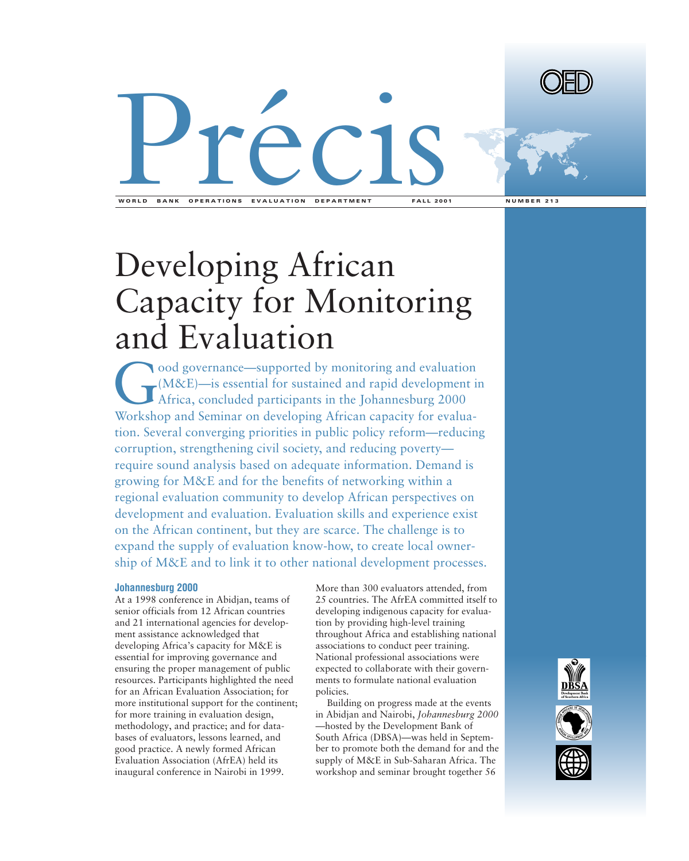



**WORLD BANK OPERATIONS EVALUATION DEPARTMENT FALL 2001 NUMBER 213**

## Developing African Capacity for Monitoring and Evaluation

ood governance—supported by monitoring and evaluation<br>(M&E)—is essential for sustained and rapid development if<br>Africa, concluded participants in the Johannesburg 2000<br>Workshop and Seminar on developing African capacity fo (M&E)—is essential for sustained and rapid development in Africa, concluded participants in the Johannesburg 2000 Workshop and Seminar on developing African capacity for evaluation. Several converging priorities in public policy reform—reducing corruption, strengthening civil society, and reducing poverty require sound analysis based on adequate information. Demand is growing for M&E and for the benefits of networking within a regional evaluation community to develop African perspectives on development and evaluation. Evaluation skills and experience exist on the African continent, but they are scarce. The challenge is to expand the supply of evaluation know-how, to create local ownership of M&E and to link it to other national development processes.

## **Johannesburg 2000**

At a 1998 conference in Abidjan, teams of senior officials from 12 African countries and 21 international agencies for development assistance acknowledged that developing Africa's capacity for M&E is essential for improving governance and ensuring the proper management of public resources. Participants highlighted the need for an African Evaluation Association; for more institutional support for the continent; for more training in evaluation design, methodology, and practice; and for databases of evaluators, lessons learned, and good practice. A newly formed African Evaluation Association (AfrEA) held its inaugural conference in Nairobi in 1999.

More than 300 evaluators attended, from 25 countries. The AfrEA committed itself to developing indigenous capacity for evaluation by providing high-level training throughout Africa and establishing national associations to conduct peer training. National professional associations were expected to collaborate with their governments to formulate national evaluation policies.

Building on progress made at the events in Abidjan and Nairobi, *Johannesburg 2000* —hosted by the Development Bank of South Africa (DBSA)—was held in September to promote both the demand for and the supply of M&E in Sub-Saharan Africa. The workshop and seminar brought together 56

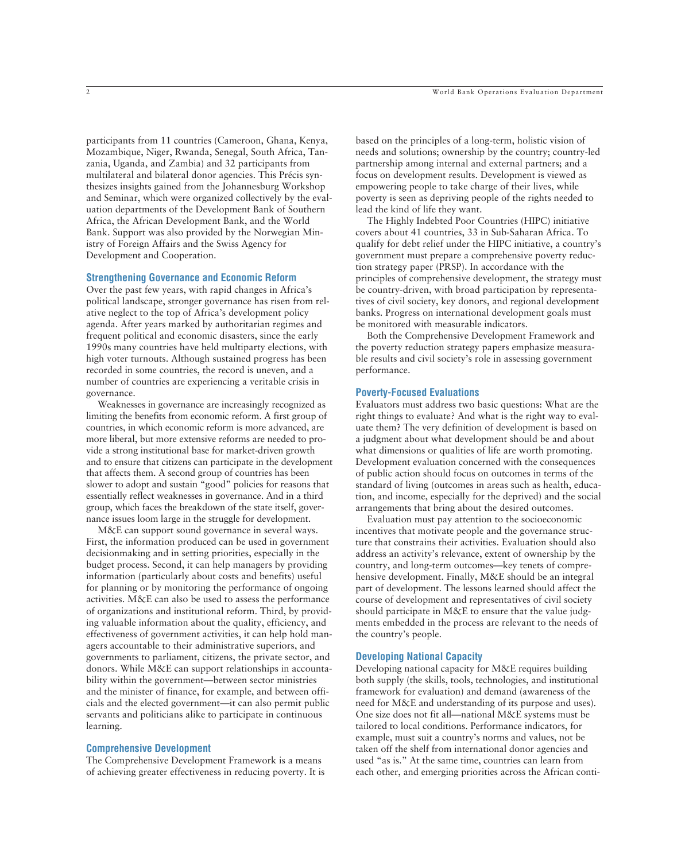participants from 11 countries (Cameroon, Ghana, Kenya, Mozambique, Niger, Rwanda, Senegal, South Africa, Tanzania, Uganda, and Zambia) and 32 participants from multilateral and bilateral donor agencies. This Précis synthesizes insights gained from the Johannesburg Workshop and Seminar, which were organized collectively by the evaluation departments of the Development Bank of Southern Africa, the African Development Bank, and the World Bank. Support was also provided by the Norwegian Ministry of Foreign Affairs and the Swiss Agency for Development and Cooperation.

## **Strengthening Governance and Economic Reform**

Over the past few years, with rapid changes in Africa's political landscape, stronger governance has risen from relative neglect to the top of Africa's development policy agenda. After years marked by authoritarian regimes and frequent political and economic disasters, since the early 1990s many countries have held multiparty elections, with high voter turnouts. Although sustained progress has been recorded in some countries, the record is uneven, and a number of countries are experiencing a veritable crisis in governance.

Weaknesses in governance are increasingly recognized as limiting the benefits from economic reform. A first group of countries, in which economic reform is more advanced, are more liberal, but more extensive reforms are needed to provide a strong institutional base for market-driven growth and to ensure that citizens can participate in the development that affects them. A second group of countries has been slower to adopt and sustain "good" policies for reasons that essentially reflect weaknesses in governance. And in a third group, which faces the breakdown of the state itself, governance issues loom large in the struggle for development.

M&E can support sound governance in several ways. First, the information produced can be used in government decisionmaking and in setting priorities, especially in the budget process. Second, it can help managers by providing information (particularly about costs and benefits) useful for planning or by monitoring the performance of ongoing activities. M&E can also be used to assess the performance of organizations and institutional reform. Third, by providing valuable information about the quality, efficiency, and effectiveness of government activities, it can help hold managers accountable to their administrative superiors, and governments to parliament, citizens, the private sector, and donors. While M&E can support relationships in accountability within the government—between sector ministries and the minister of finance, for example, and between officials and the elected government—it can also permit public servants and politicians alike to participate in continuous learning.

#### **Comprehensive Development**

The Comprehensive Development Framework is a means of achieving greater effectiveness in reducing poverty. It is

based on the principles of a long-term, holistic vision of needs and solutions; ownership by the country; country-led partnership among internal and external partners; and a focus on development results. Development is viewed as empowering people to take charge of their lives, while poverty is seen as depriving people of the rights needed to lead the kind of life they want.

The Highly Indebted Poor Countries (HIPC) initiative covers about 41 countries, 33 in Sub-Saharan Africa. To qualify for debt relief under the HIPC initiative, a country's government must prepare a comprehensive poverty reduction strategy paper (PRSP). In accordance with the principles of comprehensive development, the strategy must be country-driven, with broad participation by representatives of civil society, key donors, and regional development banks. Progress on international development goals must be monitored with measurable indicators.

Both the Comprehensive Development Framework and the poverty reduction strategy papers emphasize measurable results and civil society's role in assessing government performance.

#### **Poverty-Focused Evaluations**

Evaluators must address two basic questions: What are the right things to evaluate? And what is the right way to evaluate them? The very definition of development is based on a judgment about what development should be and about what dimensions or qualities of life are worth promoting. Development evaluation concerned with the consequences of public action should focus on outcomes in terms of the standard of living (outcomes in areas such as health, education, and income, especially for the deprived) and the social arrangements that bring about the desired outcomes.

Evaluation must pay attention to the socioeconomic incentives that motivate people and the governance structure that constrains their activities. Evaluation should also address an activity's relevance, extent of ownership by the country, and long-term outcomes—key tenets of comprehensive development. Finally, M&E should be an integral part of development. The lessons learned should affect the course of development and representatives of civil society should participate in M&E to ensure that the value judgments embedded in the process are relevant to the needs of the country's people.

## **Developing National Capacity**

Developing national capacity for M&E requires building both supply (the skills, tools, technologies, and institutional framework for evaluation) and demand (awareness of the need for M&E and understanding of its purpose and uses). One size does not fit all—national M&E systems must be tailored to local conditions. Performance indicators, for example, must suit a country's norms and values, not be taken off the shelf from international donor agencies and used "as is." At the same time, countries can learn from each other, and emerging priorities across the African conti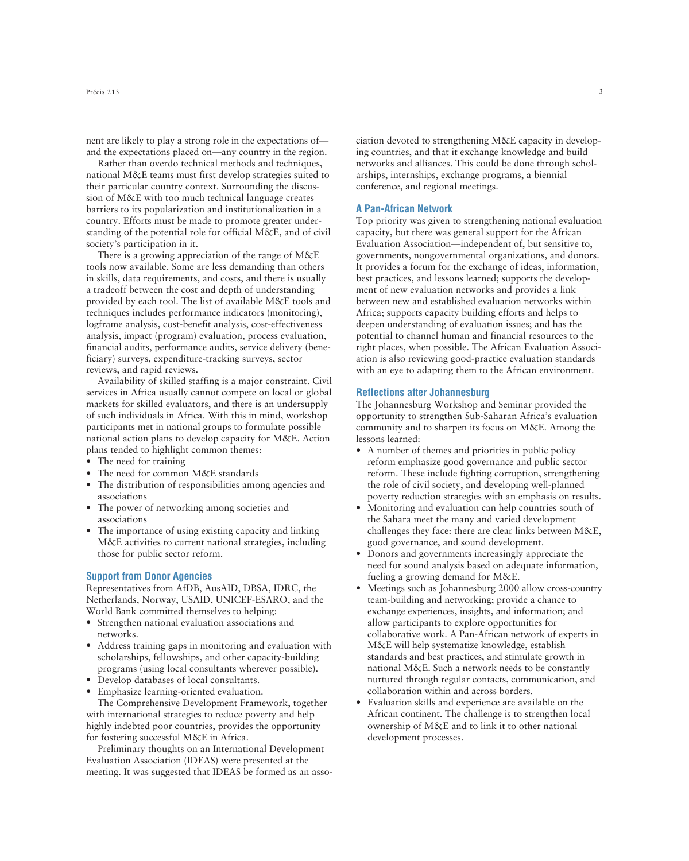nent are likely to play a strong role in the expectations of and the expectations placed on—any country in the region.

Rather than overdo technical methods and techniques, national M&E teams must first develop strategies suited to their particular country context. Surrounding the discussion of M&E with too much technical language creates barriers to its popularization and institutionalization in a country. Efforts must be made to promote greater understanding of the potential role for official M&E, and of civil society's participation in it.

There is a growing appreciation of the range of M&E tools now available. Some are less demanding than others in skills, data requirements, and costs, and there is usually a tradeoff between the cost and depth of understanding provided by each tool. The list of available M&E tools and techniques includes performance indicators (monitoring), logframe analysis, cost-benefit analysis, cost-effectiveness analysis, impact (program) evaluation, process evaluation, financial audits, performance audits, service delivery (beneficiary) surveys, expenditure-tracking surveys, sector reviews, and rapid reviews.

Availability of skilled staffing is a major constraint. Civil services in Africa usually cannot compete on local or global markets for skilled evaluators, and there is an undersupply of such individuals in Africa. With this in mind, workshop participants met in national groups to formulate possible national action plans to develop capacity for M&E. Action plans tended to highlight common themes:

- The need for training
- The need for common M&E standards
- The distribution of responsibilities among agencies and associations
- The power of networking among societies and associations
- The importance of using existing capacity and linking M&E activities to current national strategies, including those for public sector reform.

### **Support from Donor Agencies**

Representatives from AfDB, AusAID, DBSA, IDRC, the Netherlands, Norway, USAID, UNICEF-ESARO, and the World Bank committed themselves to helping:

- Strengthen national evaluation associations and networks.
- Address training gaps in monitoring and evaluation with scholarships, fellowships, and other capacity-building programs (using local consultants wherever possible).
- Develop databases of local consultants.
- Emphasize learning-oriented evaluation.

The Comprehensive Development Framework, together with international strategies to reduce poverty and help highly indebted poor countries, provides the opportunity for fostering successful M&E in Africa.

Preliminary thoughts on an International Development Evaluation Association (IDEAS) were presented at the meeting. It was suggested that IDEAS be formed as an association devoted to strengthening M&E capacity in developing countries, and that it exchange knowledge and build networks and alliances. This could be done through scholarships, internships, exchange programs, a biennial conference, and regional meetings.

## **A Pan-African Network**

Top priority was given to strengthening national evaluation capacity, but there was general support for the African Evaluation Association—independent of, but sensitive to, governments, nongovernmental organizations, and donors. It provides a forum for the exchange of ideas, information, best practices, and lessons learned; supports the development of new evaluation networks and provides a link between new and established evaluation networks within Africa; supports capacity building efforts and helps to deepen understanding of evaluation issues; and has the potential to channel human and financial resources to the right places, when possible. The African Evaluation Association is also reviewing good-practice evaluation standards with an eye to adapting them to the African environment.

### **Reflections after Johannesburg**

The Johannesburg Workshop and Seminar provided the opportunity to strengthen Sub-Saharan Africa's evaluation community and to sharpen its focus on M&E. Among the lessons learned:

- A number of themes and priorities in public policy reform emphasize good governance and public sector reform. These include fighting corruption, strengthening the role of civil society, and developing well-planned poverty reduction strategies with an emphasis on results.
- Monitoring and evaluation can help countries south of the Sahara meet the many and varied development challenges they face: there are clear links between M&E, good governance, and sound development.
- Donors and governments increasingly appreciate the need for sound analysis based on adequate information, fueling a growing demand for M&E.
- Meetings such as Johannesburg 2000 allow cross-country team-building and networking; provide a chance to exchange experiences, insights, and information; and allow participants to explore opportunities for collaborative work. A Pan-African network of experts in M&E will help systematize knowledge, establish standards and best practices, and stimulate growth in national M&E. Such a network needs to be constantly nurtured through regular contacts, communication, and collaboration within and across borders.
- Evaluation skills and experience are available on the African continent. The challenge is to strengthen local ownership of M&E and to link it to other national development processes.